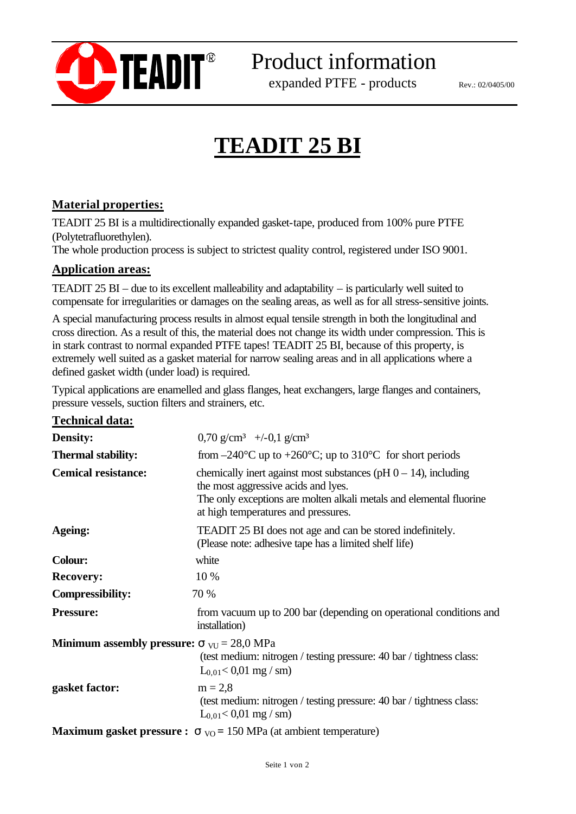

Product information

expanded PTFE - products

Rev.: 02/0405/00

j

# **TEADIT 25 BI**

### **Material properties:**

TEADIT 25 BI is a multidirectionally expanded gasket-tape, produced from 100% pure PTFE (Polytetrafluorethylen).

The whole production process is subject to strictest quality control, registered under ISO 9001.

#### **Application areas:**

TEADIT 25 BI – due to its excellent malleability and adaptability – is particularly well suited to compensate for irregularities or damages on the sealing areas, as well as for all stress-sensitive joints.

A special manufacturing process results in almost equal tensile strength in both the longitudinal and cross direction. As a result of this, the material does not change its width under compression. This is in stark contrast to normal expanded PTFE tapes! TEADIT 25 BI, because of this property, is extremely well suited as a gasket material for narrow sealing areas and in all applications where a defined gasket width (under load) is required.

Typical applications are enamelled and glass flanges, heat exchangers, large flanges and containers, pressure vessels, suction filters and strainers, etc.

| <b>Density:</b>                                                           | 0,70 g/cm <sup>3</sup> +/-0,1 g/cm <sup>3</sup>                                                                                                                                                                                                                                                                                    |
|---------------------------------------------------------------------------|------------------------------------------------------------------------------------------------------------------------------------------------------------------------------------------------------------------------------------------------------------------------------------------------------------------------------------|
| <b>Thermal stability:</b>                                                 | from $-240^{\circ}$ C up to $+260^{\circ}$ C; up to $310^{\circ}$ C for short periods                                                                                                                                                                                                                                              |
| <b>Cemical resistance:</b>                                                | chemically inert against most substances ( $pH$ 0 – 14), including<br>the most aggressive acids and lyes.<br>The only exceptions are molten alkali metals and elemental fluorine<br>at high temperatures and pressures.                                                                                                            |
| Ageing:                                                                   | <b>TEADIT 25 BI</b> does not age and can be stored indefinitely.<br>(Please note: adhesive tape has a limited shelf life)                                                                                                                                                                                                          |
| <b>Colour:</b>                                                            | white                                                                                                                                                                                                                                                                                                                              |
| <b>Recovery:</b>                                                          | 10 %                                                                                                                                                                                                                                                                                                                               |
| <b>Compressibility:</b>                                                   | 70 %                                                                                                                                                                                                                                                                                                                               |
| <b>Pressure:</b>                                                          | from vacuum up to 200 bar (depending on operational conditions and<br>installation)                                                                                                                                                                                                                                                |
| <b>Minimum assembly pressure:</b> $\sigma_{\text{VU}} = 28.0 \text{ MPa}$ | (test medium: nitrogen / testing pressure: 40 bar / tightness class:<br>$L_{0.01} < 0.01$ mg / sm)                                                                                                                                                                                                                                 |
| gasket factor:                                                            | $m = 2.8$<br>(test medium: nitrogen / testing pressure: 40 bar / tightness class:<br>$L_{0.01} < 0.01$ mg / sm)                                                                                                                                                                                                                    |
|                                                                           | $\mathbf{1}$ $\mathbf{2}$ $\mathbf{1}$ $\mathbf{1}$ $\mathbf{1}$ $\mathbf{1}$ $\mathbf{1}$ $\mathbf{1}$ $\mathbf{1}$ $\mathbf{1}$ $\mathbf{1}$ $\mathbf{1}$ $\mathbf{1}$ $\mathbf{1}$ $\mathbf{1}$ $\mathbf{1}$ $\mathbf{1}$ $\mathbf{1}$ $\mathbf{1}$ $\mathbf{1}$ $\mathbf{1}$ $\mathbf{1}$ $\mathbf{1}$ $\mathbf{1}$ $\mathbf{$ |

**Maximum gasket pressure :**  $\sigma_{\text{VO}} = 150 \text{ MPa}$  (at ambient temperature)